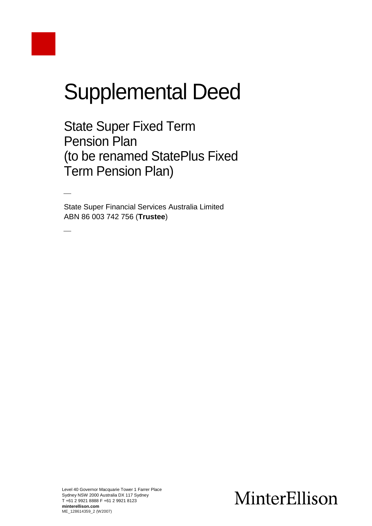# Supplemental Deed

State Super Fixed Term Pension Plan (to be renamed StatePlus Fixed Term Pension Plan)

State Super Financial Services Australia Limited ABN 86 003 742 756 (**Trustee**)

 $\overline{\phantom{a}}$ 

# MinterEllison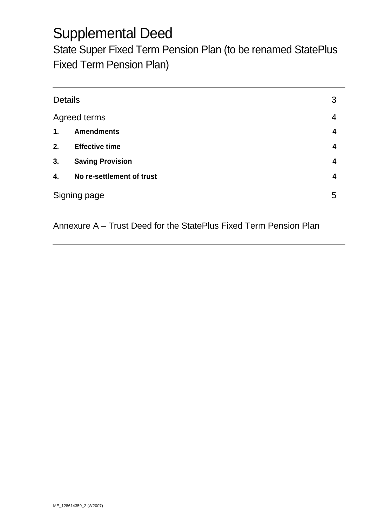# Supplemental Deed

State Super Fixed Term Pension Plan (to be renamed StatePlus Fixed Term Pension Plan)

| <b>Details</b>      |                           | 3 |
|---------------------|---------------------------|---|
| <b>Agreed terms</b> |                           | 4 |
| 1.                  | <b>Amendments</b>         | 4 |
| 2.                  | <b>Effective time</b>     | 4 |
| 3.                  | <b>Saving Provision</b>   | 4 |
| 4.                  | No re-settlement of trust | 4 |
|                     | Signing page              |   |

Annexure A – Trust Deed for the StatePlus Fixed Term Pension Plan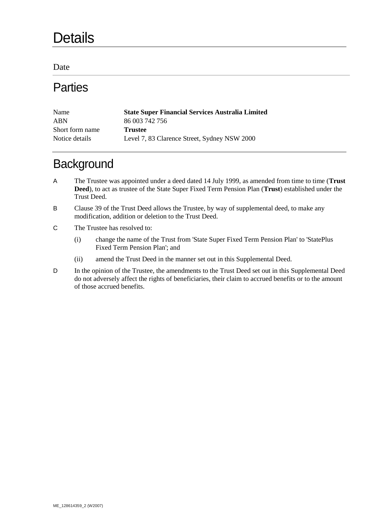# **Details**

Date

### **Parties**

| Name            | <b>State Super Financial Services Australia Limited</b> |
|-----------------|---------------------------------------------------------|
| <b>ABN</b>      | 86 003 742 756                                          |
| Short form name | <b>Trustee</b>                                          |
| Notice details  | Level 7, 83 Clarence Street, Sydney NSW 2000            |

### **Background**

- A The Trustee was appointed under a deed dated 14 July 1999, as amended from time to time (**Trust Deed**), to act as trustee of the State Super Fixed Term Pension Plan (**Trust**) established under the Trust Deed.
- B Clause 39 of the Trust Deed allows the Trustee, by way of supplemental deed, to make any modification, addition or deletion to the Trust Deed.
- C The Trustee has resolved to:
	- (i) change the name of the Trust from 'State Super Fixed Term Pension Plan' to 'StatePlus Fixed Term Pension Plan'; and
	- (ii) amend the Trust Deed in the manner set out in this Supplemental Deed.
- D In the opinion of the Trustee, the amendments to the Trust Deed set out in this Supplemental Deed do not adversely affect the rights of beneficiaries, their claim to accrued benefits or to the amount of those accrued benefits.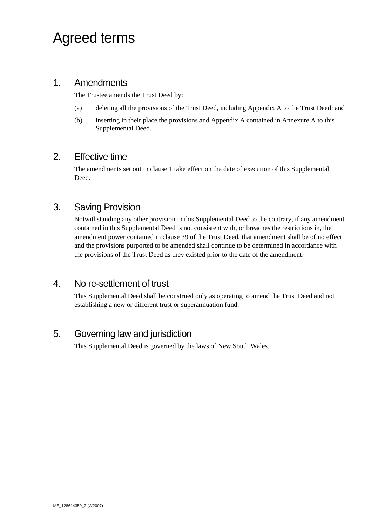#### 1. Amendments

The Trustee amends the Trust Deed by:

- (a) deleting all the provisions of the Trust Deed, including Appendix A to the Trust Deed; and
- (b) inserting in their place the provisions and Appendix A contained in Annexure A to this Supplemental Deed.

#### 2. Effective time

The amendments set out in clause 1 take effect on the date of execution of this Supplemental Deed.

#### 3. Saving Provision

Notwithstanding any other provision in this Supplemental Deed to the contrary, if any amendment contained in this Supplemental Deed is not consistent with, or breaches the restrictions in, the amendment power contained in clause 39 of the Trust Deed, that amendment shall be of no effect and the provisions purported to be amended shall continue to be determined in accordance with the provisions of the Trust Deed as they existed prior to the date of the amendment.

#### 4. No re-settlement of trust

This Supplemental Deed shall be construed only as operating to amend the Trust Deed and not establishing a new or different trust or superannuation fund.

#### 5. Governing law and jurisdiction

This Supplemental Deed is governed by the laws of New South Wales.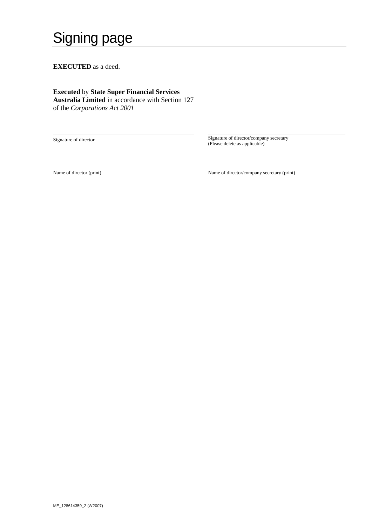# Signing page

**EXECUTED** as a deed.

#### **Executed** by **State Super Financial Services Australia Limited** in accordance with Section 127 of the *Corporations Act 2001*

Signature of director Signature of director/company secretary<br>
(Please delete as applicable)

Name of director (print) Name of director/company secretary (print)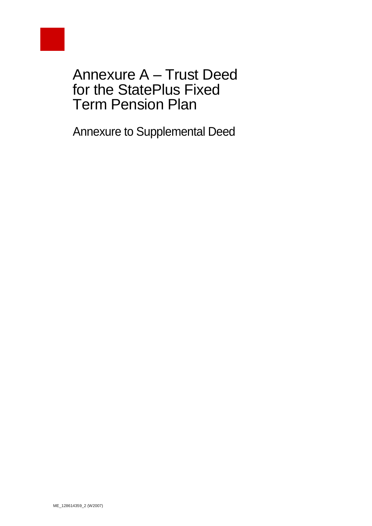

Annexure A – Trust Deed for the StatePlus Fixed Term Pension Plan

Annexure to Supplemental Deed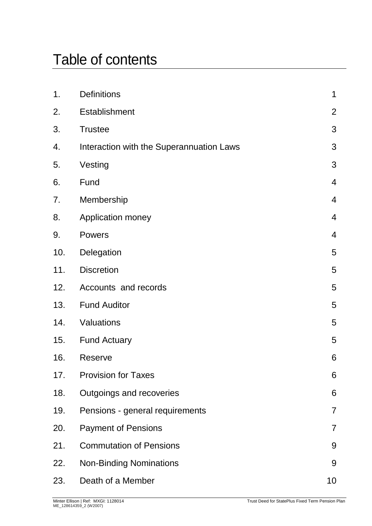# Table of contents

| <b>Definitions</b>                       | 1              |
|------------------------------------------|----------------|
| <b>Establishment</b>                     | $\overline{2}$ |
| <b>Trustee</b>                           | 3              |
| Interaction with the Superannuation Laws | 3              |
| Vesting                                  | 3              |
| Fund                                     | $\overline{4}$ |
| Membership                               | $\overline{4}$ |
| <b>Application money</b>                 | $\overline{4}$ |
| <b>Powers</b>                            | $\overline{4}$ |
| Delegation                               | 5              |
| <b>Discretion</b>                        | 5              |
| Accounts and records                     | 5              |
| <b>Fund Auditor</b>                      | 5              |
| Valuations                               | 5              |
| <b>Fund Actuary</b>                      | 5              |
| Reserve                                  | 6              |
| <b>Provision for Taxes</b>               | 6              |
| Outgoings and recoveries                 | 6              |
| Pensions - general requirements          | $\overline{7}$ |
| <b>Payment of Pensions</b>               | $\overline{7}$ |
| <b>Commutation of Pensions</b>           | 9              |
| <b>Non-Binding Nominations</b>           | 9              |
| Death of a Member                        | 10             |
|                                          |                |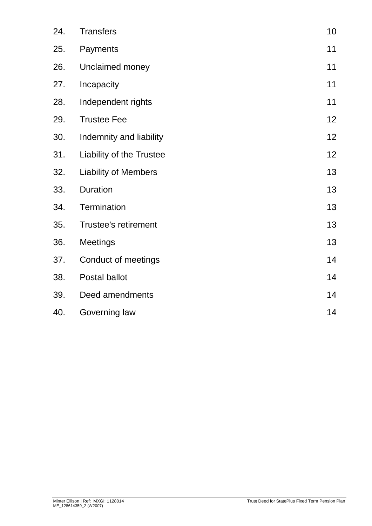| 24. | <b>Transfers</b>            | 10 |
|-----|-----------------------------|----|
| 25. | Payments                    | 11 |
| 26. | Unclaimed money             | 11 |
| 27. | Incapacity                  | 11 |
| 28. | Independent rights          | 11 |
| 29. | <b>Trustee Fee</b>          | 12 |
| 30. | Indemnity and liability     | 12 |
| 31. | Liability of the Trustee    | 12 |
| 32. | <b>Liability of Members</b> | 13 |
| 33. | Duration                    | 13 |
| 34. | Termination                 | 13 |
| 35. | <b>Trustee's retirement</b> | 13 |
| 36. | <b>Meetings</b>             | 13 |
| 37. | Conduct of meetings         | 14 |
| 38. | Postal ballot               | 14 |
| 39. | Deed amendments             | 14 |
| 40. | Governing law               | 14 |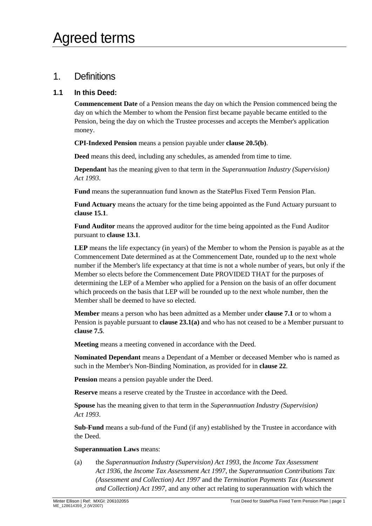#### <span id="page-8-0"></span>1. Definitions

#### **1.1 In this Deed:**

**Commencement Date** of a Pension means the day on which the Pension commenced being the day on which the Member to whom the Pension first became payable became entitled to the Pension, being the day on which the Trustee processes and accepts the Member's application money.

**CPI-Indexed Pension** means a pension payable under **clause [20.5\(b\)](#page-15-0)**.

**Deed** means this deed, including any schedules, as amended from time to time.

**Dependant** has the meaning given to that term in the *Superannuation Industry (Supervision) Act 1993*.

**Fund** means the superannuation fund known as the StatePlus Fixed Term Pension Plan.

**Fund Actuary** means the actuary for the time being appointed as the Fund Actuary pursuant to **clause [15.1](#page-12-6)**.

**Fund Auditor** means the approved auditor for the time being appointed as the Fund Auditor pursuant to **clause [13.1](#page-12-7)**.

**LEP** means the life expectancy (in years) of the Member to whom the Pension is payable as at the Commencement Date determined as at the Commencement Date, rounded up to the next whole number if the Member's life expectancy at that time is not a whole number of years, but only if the Member so elects before the Commencement Date PROVIDED THAT for the purposes of determining the LEP of a Member who applied for a Pension on the basis of an offer document which proceeds on the basis that LEP will be rounded up to the next whole number, then the Member shall be deemed to have so elected.

**Member** means a person who has been admitted as a Member under **clause [7.1](#page-11-4)** or to whom a Pension is payable pursuant to **clause 23.1(a)** and who has not ceased to be a Member pursuant to **clause [7.5](#page-11-5)**.

**Meeting** means a meeting convened in accordance with the Deed.

**Nominated Dependant** means a Dependant of a Member or deceased Member who is named as such in the Member's Non-Binding Nomination, as provided for in **clause 22**.

**Pension** means a pension payable under the Deed.

**Reserve** means a reserve created by the Trustee in accordance with the Deed.

**Spouse** has the meaning given to that term in the *Superannuation Industry (Supervision) Act 1993*.

**Sub-Fund** means a sub-fund of the Fund (if any) established by the Trustee in accordance with the Deed.

#### **Superannuation Laws** means:

(a) the *Superannuation Industry (Supervision) Act 1993*, the *Income Tax Assessment Act 1936*, the *Income Tax Assessment Act 1997*, the *Superannuation Contributions Tax (Assessment and Collection) Act 1997* and the *Termination Payments Tax (Assessment and Collection) Act 1997*, and any other act relating to superannuation with which the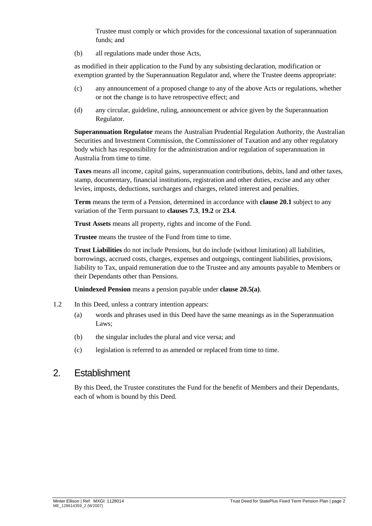Trustee must comply or which provides for the concessional taxation of superannuation funds; and

(b) all regulations made under those Acts,

as modified in their application to the Fund by any subsisting declaration, modification or exemption granted by the Superannuation Regulator and, where the Trustee deems appropriate:

- (c) any announcement of a proposed change to any of the above Acts or regulations, whether or not the change is to have retrospective effect; and
- (d) any circular, guideline, ruling, announcement or advice given by the Superannuation Regulator.

**Superannuation Regulator** means the Australian Prudential Regulation Authority, the Australian Securities and Investment Commission, the Commissioner of Taxation and any other regulatory body which has responsibility for the administration and/or regulation of superannuation in Australia from time to time.

**Taxes** means all income, capital gains, superannuation contributions, debits, land and other taxes, stamp, documentary, financial institutions, registration and other duties, excise and any other levies, imposts, deductions, surcharges and charges, related interest and penalties.

**Term** means the term of a Pension, determined in accordance with **clause [20.1](#page-14-2)** subject to any variation of the Term pursuant to **clauses [7.3](#page-11-6)**, **[19.2](#page-14-3)** or **[23.4](#page-17-2)**.

**Trust Assets** means all property, rights and income of the Fund.

**Trustee** means the trustee of the Fund from time to time.

**Trust Liabilities** do not include Pensions, but do include (without limitation) all liabilities, borrowings, accrued costs, charges, expenses and outgoings, contingent liabilities, provisions, liability to Tax, unpaid remuneration due to the Trustee and any amounts payable to Members or their Dependants other than Pensions.

**Unindexed Pension** means a pension payable under **clause [20.5\(a\)](#page-15-1)**.

- 1.2 In this Deed, unless a contrary intention appears:
	- (a) words and phrases used in this Deed have the same meanings as in the Superannuation Laws;
	- (b) the singular includes the plural and vice versa; and
	- (c) legislation is referred to as amended or replaced from time to time.

#### <span id="page-9-0"></span>2. Establishment

By this Deed, the Trustee constitutes the Fund for the benefit of Members and their Dependants, each of whom is bound by this Deed.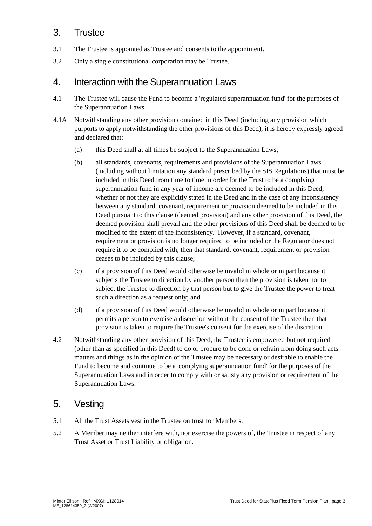#### <span id="page-10-0"></span>3. Trustee

- 3.1 The Trustee is appointed as Trustee and consents to the appointment.
- 3.2 Only a single constitutional corporation may be Trustee.

#### <span id="page-10-1"></span>4. Interaction with the Superannuation Laws

- 4.1 The Trustee will cause the Fund to become a 'regulated superannuation fund' for the purposes of the Superannuation Laws.
- 4.1A Notwithstanding any other provision contained in this Deed (including any provision which purports to apply notwithstanding the other provisions of this Deed), it is hereby expressly agreed and declared that:
	- (a) this Deed shall at all times be subject to the Superannuation Laws;
	- (b) all standards, covenants, requirements and provisions of the Superannuation Laws (including without limitation any standard prescribed by the SIS Regulations) that must be included in this Deed from time to time in order for the Trust to be a complying superannuation fund in any year of income are deemed to be included in this Deed, whether or not they are explicitly stated in the Deed and in the case of any inconsistency between any standard, covenant, requirement or provision deemed to be included in this Deed pursuant to this clause (deemed provision) and any other provision of this Deed, the deemed provision shall prevail and the other provisions of this Deed shall be deemed to be modified to the extent of the inconsistency. However, if a standard, covenant, requirement or provision is no longer required to be included or the Regulator does not require it to be complied with, then that standard, covenant, requirement or provision ceases to be included by this clause;
	- (c) if a provision of this Deed would otherwise be invalid in whole or in part because it subjects the Trustee to direction by another person then the provision is taken not to subject the Trustee to direction by that person but to give the Trustee the power to treat such a direction as a request only; and
	- (d) if a provision of this Deed would otherwise be invalid in whole or in part because it permits a person to exercise a discretion without the consent of the Trustee then that provision is taken to require the Trustee's consent for the exercise of the discretion.
- 4.2 Notwithstanding any other provision of this Deed, the Trustee is empowered but not required (other than as specified in this Deed) to do or procure to be done or refrain from doing such acts matters and things as in the opinion of the Trustee may be necessary or desirable to enable the Fund to become and continue to be a 'complying superannuation fund' for the purposes of the Superannuation Laws and in order to comply with or satisfy any provision or requirement of the Superannuation Laws.

#### <span id="page-10-2"></span>5. Vesting

- 5.1 All the Trust Assets vest in the Trustee on trust for Members.
- 5.2 A Member may neither interfere with, nor exercise the powers of, the Trustee in respect of any Trust Asset or Trust Liability or obligation.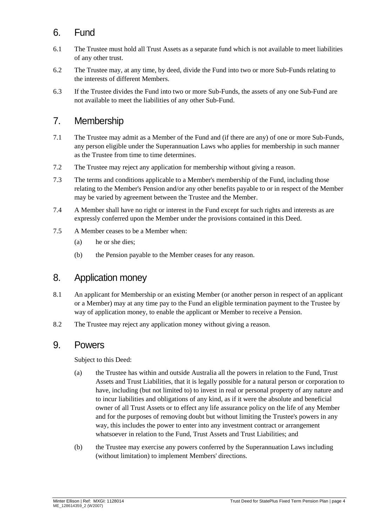#### <span id="page-11-0"></span>6. Fund

- 6.1 The Trustee must hold all Trust Assets as a separate fund which is not available to meet liabilities of any other trust.
- 6.2 The Trustee may, at any time, by deed, divide the Fund into two or more Sub-Funds relating to the interests of different Members.
- 6.3 If the Trustee divides the Fund into two or more Sub-Funds, the assets of any one Sub-Fund are not available to meet the liabilities of any other Sub-Fund.

#### <span id="page-11-1"></span>7. Membership

- <span id="page-11-4"></span>7.1 The Trustee may admit as a Member of the Fund and (if there are any) of one or more Sub-Funds, any person eligible under the Superannuation Laws who applies for membership in such manner as the Trustee from time to time determines.
- 7.2 The Trustee may reject any application for membership without giving a reason.
- <span id="page-11-6"></span>7.3 The terms and conditions applicable to a Member's membership of the Fund, including those relating to the Member's Pension and/or any other benefits payable to or in respect of the Member may be varied by agreement between the Trustee and the Member.
- 7.4 A Member shall have no right or interest in the Fund except for such rights and interests as are expressly conferred upon the Member under the provisions contained in this Deed.
- <span id="page-11-5"></span>7.5 A Member ceases to be a Member when:
	- (a) he or she dies;
	- (b) the Pension payable to the Member ceases for any reason.

#### <span id="page-11-2"></span>8. Application money

- 8.1 An applicant for Membership or an existing Member (or another person in respect of an applicant or a Member) may at any time pay to the Fund an eligible termination payment to the Trustee by way of application money, to enable the applicant or Member to receive a Pension.
- <span id="page-11-3"></span>8.2 The Trustee may reject any application money without giving a reason.

#### 9. Powers

Subject to this Deed:

- (a) the Trustee has within and outside Australia all the powers in relation to the Fund, Trust Assets and Trust Liabilities, that it is legally possible for a natural person or corporation to have, including (but not limited to) to invest in real or personal property of any nature and to incur liabilities and obligations of any kind, as if it were the absolute and beneficial owner of all Trust Assets or to effect any life assurance policy on the life of any Member and for the purposes of removing doubt but without limiting the Trustee's powers in any way, this includes the power to enter into any investment contract or arrangement whatsoever in relation to the Fund, Trust Assets and Trust Liabilities; and
- (b) the Trustee may exercise any powers conferred by the Superannuation Laws including (without limitation) to implement Members' directions.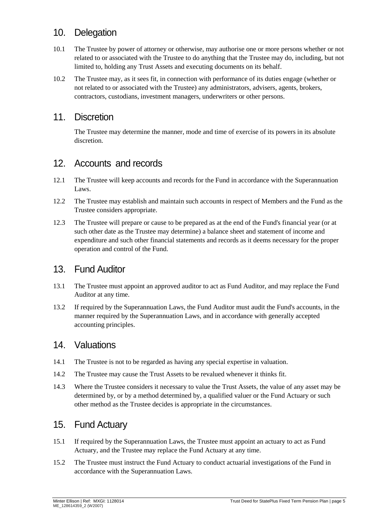#### <span id="page-12-0"></span>10. Delegation

- 10.1 The Trustee by power of attorney or otherwise, may authorise one or more persons whether or not related to or associated with the Trustee to do anything that the Trustee may do, including, but not limited to, holding any Trust Assets and executing documents on its behalf.
- 10.2 The Trustee may, as it sees fit, in connection with performance of its duties engage (whether or not related to or associated with the Trustee) any administrators, advisers, agents, brokers, contractors, custodians, investment managers, underwriters or other persons.

#### <span id="page-12-1"></span>11. Discretion

The Trustee may determine the manner, mode and time of exercise of its powers in its absolute discretion.

#### <span id="page-12-2"></span>12. Accounts and records

- 12.1 The Trustee will keep accounts and records for the Fund in accordance with the Superannuation Laws.
- 12.2 The Trustee may establish and maintain such accounts in respect of Members and the Fund as the Trustee considers appropriate.
- 12.3 The Trustee will prepare or cause to be prepared as at the end of the Fund's financial year (or at such other date as the Trustee may determine) a balance sheet and statement of income and expenditure and such other financial statements and records as it deems necessary for the proper operation and control of the Fund.

#### <span id="page-12-3"></span>13. Fund Auditor

- <span id="page-12-7"></span>13.1 The Trustee must appoint an approved auditor to act as Fund Auditor, and may replace the Fund Auditor at any time.
- 13.2 If required by the Superannuation Laws, the Fund Auditor must audit the Fund's accounts, in the manner required by the Superannuation Laws, and in accordance with generally accepted accounting principles.

#### <span id="page-12-4"></span>14. Valuations

- 14.1 The Trustee is not to be regarded as having any special expertise in valuation.
- 14.2 The Trustee may cause the Trust Assets to be revalued whenever it thinks fit.
- 14.3 Where the Trustee considers it necessary to value the Trust Assets, the value of any asset may be determined by, or by a method determined by, a qualified valuer or the Fund Actuary or such other method as the Trustee decides is appropriate in the circumstances.

#### <span id="page-12-5"></span>15. Fund Actuary

- <span id="page-12-6"></span>15.1 If required by the Superannuation Laws, the Trustee must appoint an actuary to act as Fund Actuary, and the Trustee may replace the Fund Actuary at any time.
- 15.2 The Trustee must instruct the Fund Actuary to conduct actuarial investigations of the Fund in accordance with the Superannuation Laws.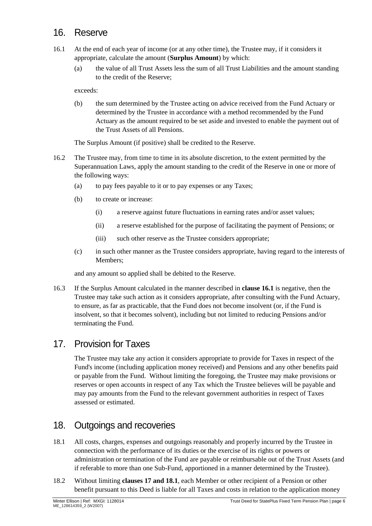#### <span id="page-13-0"></span>16. Reserve

- <span id="page-13-3"></span>16.1 At the end of each year of income (or at any other time), the Trustee may, if it considers it appropriate, calculate the amount (**Surplus Amount**) by which:
	- (a) the value of all Trust Assets less the sum of all Trust Liabilities and the amount standing to the credit of the Reserve;

exceeds:

(b) the sum determined by the Trustee acting on advice received from the Fund Actuary or determined by the Trustee in accordance with a method recommended by the Fund Actuary as the amount required to be set aside and invested to enable the payment out of the Trust Assets of all Pensions.

The Surplus Amount (if positive) shall be credited to the Reserve.

- 16.2 The Trustee may, from time to time in its absolute discretion, to the extent permitted by the Superannuation Laws, apply the amount standing to the credit of the Reserve in one or more of the following ways:
	- (a) to pay fees payable to it or to pay expenses or any Taxes;
	- (b) to create or increase:
		- (i) a reserve against future fluctuations in earning rates and/or asset values;
		- (ii) a reserve established for the purpose of facilitating the payment of Pensions; or
		- (iii) such other reserve as the Trustee considers appropriate;
	- (c) in such other manner as the Trustee considers appropriate, having regard to the interests of Members;

and any amount so applied shall be debited to the Reserve.

16.3 If the Surplus Amount calculated in the manner described in **clause [16.1](#page-13-3)** is negative, then the Trustee may take such action as it considers appropriate, after consulting with the Fund Actuary, to ensure, as far as practicable, that the Fund does not become insolvent (or, if the Fund is insolvent, so that it becomes solvent), including but not limited to reducing Pensions and/or terminating the Fund.

#### <span id="page-13-1"></span>17. Provision for Taxes

The Trustee may take any action it considers appropriate to provide for Taxes in respect of the Fund's income (including application money received) and Pensions and any other benefits paid or payable from the Fund. Without limiting the foregoing, the Trustee may make provisions or reserves or open accounts in respect of any Tax which the Trustee believes will be payable and may pay amounts from the Fund to the relevant government authorities in respect of Taxes assessed or estimated.

#### <span id="page-13-2"></span>18. Outgoings and recoveries

- <span id="page-13-4"></span>18.1 All costs, charges, expenses and outgoings reasonably and properly incurred by the Trustee in connection with the performance of its duties or the exercise of its rights or powers or administration or termination of the Fund are payable or reimbursable out of the Trust Assets (and if referable to more than one Sub-Fund, apportioned in a manner determined by the Trustee).
- <span id="page-13-5"></span>18.2 Without limiting **clauses [17](#page-13-1) and [18.1](#page-13-4)**, each Member or other recipient of a Pension or other benefit pursuant to this Deed is liable for all Taxes and costs in relation to the application money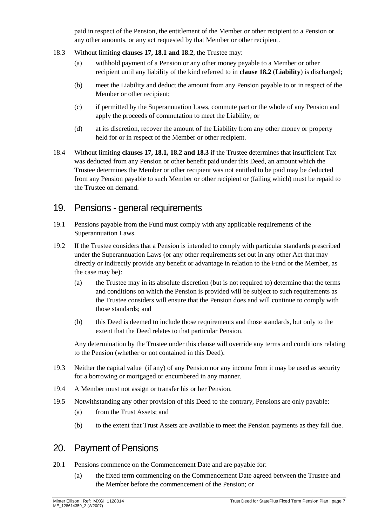paid in respect of the Pension, the entitlement of the Member or other recipient to a Pension or any other amounts, or any act requested by that Member or other recipient.

- <span id="page-14-4"></span>18.3 Without limiting **clauses [17,](#page-13-1) [18.1](#page-13-4) and [18.2](#page-13-5)**, the Trustee may:
	- (a) withhold payment of a Pension or any other money payable to a Member or other recipient until any liability of the kind referred to in **clause [18.2](#page-13-5)** (**Liability**) is discharged;
	- (b) meet the Liability and deduct the amount from any Pension payable to or in respect of the Member or other recipient;
	- (c) if permitted by the Superannuation Laws, commute part or the whole of any Pension and apply the proceeds of commutation to meet the Liability; or
	- (d) at its discretion, recover the amount of the Liability from any other money or property held for or in respect of the Member or other recipient.
- 18.4 Without limiting **clauses [17,](#page-13-1) [18.1,](#page-13-4) [18.2](#page-13-5) and [18.3](#page-14-4)** if the Trustee determines that insufficient Tax was deducted from any Pension or other benefit paid under this Deed, an amount which the Trustee determines the Member or other recipient was not entitled to be paid may be deducted from any Pension payable to such Member or other recipient or (failing which) must be repaid to the Trustee on demand.

#### <span id="page-14-0"></span>19. Pensions - general requirements

- 19.1 Pensions payable from the Fund must comply with any applicable requirements of the Superannuation Laws.
- <span id="page-14-3"></span>19.2 If the Trustee considers that a Pension is intended to comply with particular standards prescribed under the Superannuation Laws (or any other requirements set out in any other Act that may directly or indirectly provide any benefit or advantage in relation to the Fund or the Member, as the case may be):
	- (a) the Trustee may in its absolute discretion (but is not required to) determine that the terms and conditions on which the Pension is provided will be subject to such requirements as the Trustee considers will ensure that the Pension does and will continue to comply with those standards; and
	- (b) this Deed is deemed to include those requirements and those standards, but only to the extent that the Deed relates to that particular Pension.

Any determination by the Trustee under this clause will override any terms and conditions relating to the Pension (whether or not contained in this Deed).

- 19.3 Neither the capital value (if any) of any Pension nor any income from it may be used as security for a borrowing or mortgaged or encumbered in any manner.
- 19.4 A Member must not assign or transfer his or her Pension.
- 19.5 Notwithstanding any other provision of this Deed to the contrary, Pensions are only payable:
	- (a) from the Trust Assets; and
	- (b) to the extent that Trust Assets are available to meet the Pension payments as they fall due.

#### <span id="page-14-1"></span>20. Payment of Pensions

- <span id="page-14-2"></span>20.1 Pensions commence on the Commencement Date and are payable for:
	- (a) the fixed term commencing on the Commencement Date agreed between the Trustee and the Member before the commencement of the Pension; or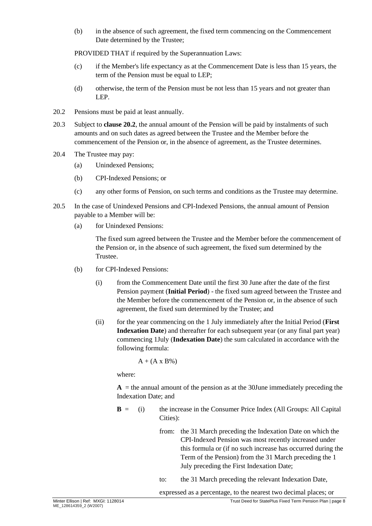(b) in the absence of such agreement, the fixed term commencing on the Commencement Date determined by the Trustee;

PROVIDED THAT if required by the Superannuation Laws:

- (c) if the Member's life expectancy as at the Commencement Date is less than 15 years, the term of the Pension must be equal to LEP;
- (d) otherwise, the term of the Pension must be not less than 15 years and not greater than LEP.
- <span id="page-15-2"></span>20.2 Pensions must be paid at least annually.
- 20.3 Subject to **clause [20.2](#page-15-2)**, the annual amount of the Pension will be paid by instalments of such amounts and on such dates as agreed between the Trustee and the Member before the commencement of the Pension or, in the absence of agreement, as the Trustee determines.
- 20.4 The Trustee may pay:
	- (a) Unindexed Pensions;
	- (b) CPI-Indexed Pensions; or
	- (c) any other forms of Pension, on such terms and conditions as the Trustee may determine.
- <span id="page-15-1"></span>20.5 In the case of Unindexed Pensions and CPI-Indexed Pensions, the annual amount of Pension payable to a Member will be:
	- (a) for Unindexed Pensions:

The fixed sum agreed between the Trustee and the Member before the commencement of the Pension or, in the absence of such agreement, the fixed sum determined by the Trustee.

- <span id="page-15-0"></span>(b) for CPI-Indexed Pensions:
	- (i) from the Commencement Date until the first 30 June after the date of the first Pension payment (**Initial Period**) - the fixed sum agreed between the Trustee and the Member before the commencement of the Pension or, in the absence of such agreement, the fixed sum determined by the Trustee; and
	- (ii) for the year commencing on the 1 July immediately after the Initial Period (**First Indexation Date**) and thereafter for each subsequent year (or any final part year) commencing 1July (**Indexation Date**) the sum calculated in accordance with the following formula:

$$
A + (A \times B\%)
$$

where:

 $A =$  the annual amount of the pension as at the 30June immediately preceding the Indexation Date; and

- **B** = (i) the increase in the Consumer Price Index (All Groups: All Capital Cities):
	- from: the 31 March preceding the Indexation Date on which the CPI-Indexed Pension was most recently increased under this formula or (if no such increase has occurred during the Term of the Pension) from the 31 March preceding the 1 July preceding the First Indexation Date;
	- to: the 31 March preceding the relevant Indexation Date,

expressed as a percentage, to the nearest two decimal places; or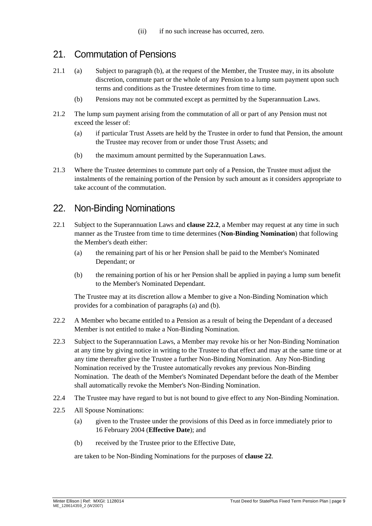#### <span id="page-16-0"></span>21. Commutation of Pensions

- 21.1 (a) Subject to paragraph (b), at the request of the Member, the Trustee may, in its absolute discretion, commute part or the whole of any Pension to a lump sum payment upon such terms and conditions as the Trustee determines from time to time.
	- (b) Pensions may not be commuted except as permitted by the Superannuation Laws.
- 21.2 The lump sum payment arising from the commutation of all or part of any Pension must not exceed the lesser of:
	- (a) if particular Trust Assets are held by the Trustee in order to fund that Pension, the amount the Trustee may recover from or under those Trust Assets; and
	- (b) the maximum amount permitted by the Superannuation Laws.
- 21.3 Where the Trustee determines to commute part only of a Pension, the Trustee must adjust the instalments of the remaining portion of the Pension by such amount as it considers appropriate to take account of the commutation.

#### <span id="page-16-1"></span>22. Non-Binding Nominations

- 22.1 Subject to the Superannuation Laws and **clause [22.2](#page-16-2)**, a Member may request at any time in such manner as the Trustee from time to time determines (**Non-Binding Nomination**) that following the Member's death either:
	- (a) the remaining part of his or her Pension shall be paid to the Member's Nominated Dependant; or
	- (b) the remaining portion of his or her Pension shall be applied in paying a lump sum benefit to the Member's Nominated Dependant.

The Trustee may at its discretion allow a Member to give a Non-Binding Nomination which provides for a combination of paragraphs (a) and (b).

- <span id="page-16-2"></span>22.2 A Member who became entitled to a Pension as a result of being the Dependant of a deceased Member is not entitled to make a Non-Binding Nomination.
- 22.3 Subject to the Superannuation Laws, a Member may revoke his or her Non-Binding Nomination at any time by giving notice in writing to the Trustee to that effect and may at the same time or at any time thereafter give the Trustee a further Non-Binding Nomination. Any Non-Binding Nomination received by the Trustee automatically revokes any previous Non-Binding Nomination. The death of the Member's Nominated Dependant before the death of the Member shall automatically revoke the Member's Non-Binding Nomination.
- 22.4 The Trustee may have regard to but is not bound to give effect to any Non-Binding Nomination.
- 22.5 All Spouse Nominations:
	- (a) given to the Trustee under the provisions of this Deed as in force immediately prior to 16 February 2004 (**Effective Date**); and
	- (b) received by the Trustee prior to the Effective Date,

are taken to be Non-Binding Nominations for the purposes of **clause [22](#page-16-1)**.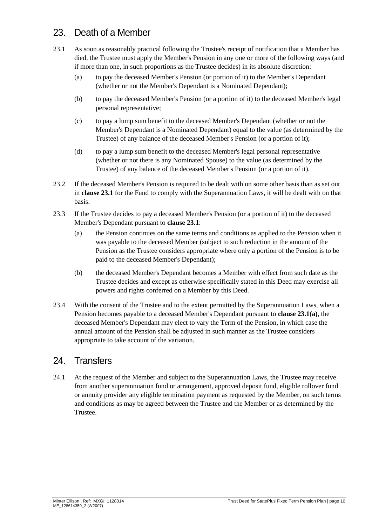#### <span id="page-17-0"></span>23. Death of a Member

- <span id="page-17-3"></span>23.1 As soon as reasonably practical following the Trustee's receipt of notification that a Member has died, the Trustee must apply the Member's Pension in any one or more of the following ways (and if more than one, in such proportions as the Trustee decides) in its absolute discretion:
	- (a) to pay the deceased Member's Pension (or portion of it) to the Member's Dependant (whether or not the Member's Dependant is a Nominated Dependant);
	- (b) to pay the deceased Member's Pension (or a portion of it) to the deceased Member's legal personal representative;
	- (c) to pay a lump sum benefit to the deceased Member's Dependant (whether or not the Member's Dependant is a Nominated Dependant) equal to the value (as determined by the Trustee) of any balance of the deceased Member's Pension (or a portion of it);
	- (d) to pay a lump sum benefit to the deceased Member's legal personal representative (whether or not there is any Nominated Spouse) to the value (as determined by the Trustee) of any balance of the deceased Member's Pension (or a portion of it).
- 23.2 If the deceased Member's Pension is required to be dealt with on some other basis than as set out in **clause [23.1](#page-17-3)** for the Fund to comply with the Superannuation Laws, it will be dealt with on that basis.
- 23.3 If the Trustee decides to pay a deceased Member's Pension (or a portion of it) to the deceased Member's Dependant pursuant to **clause [23.1](#page-17-3)**:
	- (a) the Pension continues on the same terms and conditions as applied to the Pension when it was payable to the deceased Member (subject to such reduction in the amount of the Pension as the Trustee considers appropriate where only a portion of the Pension is to be paid to the deceased Member's Dependant);
	- (b) the deceased Member's Dependant becomes a Member with effect from such date as the Trustee decides and except as otherwise specifically stated in this Deed may exercise all powers and rights conferred on a Member by this Deed.
- <span id="page-17-2"></span>23.4 With the consent of the Trustee and to the extent permitted by the Superannuation Laws, when a Pension becomes payable to a deceased Member's Dependant pursuant to **clause 23.1(a)**, the deceased Member's Dependant may elect to vary the Term of the Pension, in which case the annual amount of the Pension shall be adjusted in such manner as the Trustee considers appropriate to take account of the variation.

#### <span id="page-17-1"></span>24. Transfers

24.1 At the request of the Member and subject to the Superannuation Laws, the Trustee may receive from another superannuation fund or arrangement, approved deposit fund, eligible rollover fund or annuity provider any eligible termination payment as requested by the Member, on such terms and conditions as may be agreed between the Trustee and the Member or as determined by the Trustee.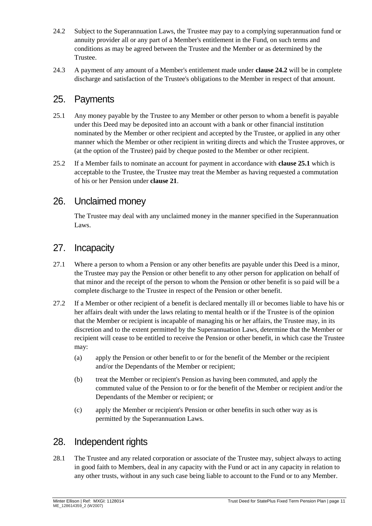- <span id="page-18-4"></span>24.2 Subject to the Superannuation Laws, the Trustee may pay to a complying superannuation fund or annuity provider all or any part of a Member's entitlement in the Fund, on such terms and conditions as may be agreed between the Trustee and the Member or as determined by the Trustee.
- 24.3 A payment of any amount of a Member's entitlement made under **clause [24.2](#page-18-4)** will be in complete discharge and satisfaction of the Trustee's obligations to the Member in respect of that amount.

#### <span id="page-18-0"></span>25. Payments

- <span id="page-18-5"></span>25.1 Any money payable by the Trustee to any Member or other person to whom a benefit is payable under this Deed may be deposited into an account with a bank or other financial institution nominated by the Member or other recipient and accepted by the Trustee, or applied in any other manner which the Member or other recipient in writing directs and which the Trustee approves, or (at the option of the Trustee) paid by cheque posted to the Member or other recipient.
- 25.2 If a Member fails to nominate an account for payment in accordance with **clause [25.1](#page-18-5)** which is acceptable to the Trustee, the Trustee may treat the Member as having requested a commutation of his or her Pension under **clause [21](#page-16-0)**.

#### <span id="page-18-1"></span>26. Unclaimed money

The Trustee may deal with any unclaimed money in the manner specified in the Superannuation Laws.

#### <span id="page-18-2"></span>27. Incapacity

- 27.1 Where a person to whom a Pension or any other benefits are payable under this Deed is a minor, the Trustee may pay the Pension or other benefit to any other person for application on behalf of that minor and the receipt of the person to whom the Pension or other benefit is so paid will be a complete discharge to the Trustee in respect of the Pension or other benefit.
- 27.2 If a Member or other recipient of a benefit is declared mentally ill or becomes liable to have his or her affairs dealt with under the laws relating to mental health or if the Trustee is of the opinion that the Member or recipient is incapable of managing his or her affairs, the Trustee may, in its discretion and to the extent permitted by the Superannuation Laws, determine that the Member or recipient will cease to be entitled to receive the Pension or other benefit, in which case the Trustee may:
	- (a) apply the Pension or other benefit to or for the benefit of the Member or the recipient and/or the Dependants of the Member or recipient;
	- (b) treat the Member or recipient's Pension as having been commuted, and apply the commuted value of the Pension to or for the benefit of the Member or recipient and/or the Dependants of the Member or recipient; or
	- (c) apply the Member or recipient's Pension or other benefits in such other way as is permitted by the Superannuation Laws.

#### <span id="page-18-3"></span>28. Independent rights

28.1 The Trustee and any related corporation or associate of the Trustee may, subject always to acting in good faith to Members, deal in any capacity with the Fund or act in any capacity in relation to any other trusts, without in any such case being liable to account to the Fund or to any Member.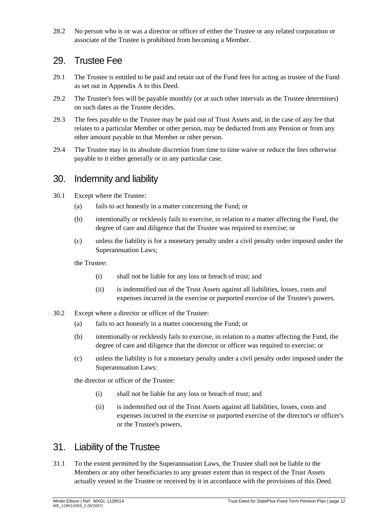28.2 No person who is or was a director or officer of either the Trustee or any related corporation or associate of the Trustee is prohibited from becoming a Member.

#### <span id="page-19-0"></span>29. Trustee Fee

- <span id="page-19-3"></span>29.1 The Trustee is entitled to be paid and retain out of the Fund fees for acting as trustee of the Fund as set out in Appendix A to this Deed.
- 29.2 The Trustee's fees will be payable monthly (or at such other intervals as the Trustee determines) on such dates as the Trustee decides.
- 29.3 The fees payable to the Trustee may be paid out of Trust Assets and, in the case of any fee that relates to a particular Member or other person, may be deducted from any Pension or from any other amount payable to that Member or other person.
- 29.4 The Trustee may in its absolute discretion from time to time waive or reduce the fees otherwise payable to it either generally or in any particular case.

#### <span id="page-19-1"></span>30. Indemnity and liability

- 30.1 Except where the Trustee:
	- (a) fails to act honestly in a matter concerning the Fund; or
	- (b) intentionally or recklessly fails to exercise, in relation to a matter affecting the Fund, the degree of care and diligence that the Trustee was required to exercise; or
	- (c) unless the liability is for a monetary penalty under a civil penalty order imposed under the Superannuation Laws;

the Trustee:

- (i) shall not be liable for any loss or breach of trust; and
- (ii) is indemnified out of the Trust Assets against all liabilities, losses, costs and expenses incurred in the exercise or purported exercise of the Trustee's powers.
- 30.2 Except where a director or officer of the Trustee:
	- (a) fails to act honestly in a matter concerning the Fund; or
	- (b) intentionally or recklessly fails to exercise, in relation to a matter affecting the Fund, the degree of care and diligence that the director or officer was required to exercise; or
	- (c) unless the liability is for a monetary penalty under a civil penalty order imposed under the Superannuation Laws:

the director or officer of the Trustee:

- (i) shall not be liable for any loss or breach of trust; and
- (ii) is indemnified out of the Trust Assets against all liabilities, losses, costs and expenses incurred in the exercise or purported exercise of the director's or officer's or the Trustee's powers.

#### <span id="page-19-2"></span>31. Liability of the Trustee

31.1 To the extent permitted by the Superannuation Laws, the Trustee shall not be liable to the Members or any other beneficiaries to any greater extent than in respect of the Trust Assets actually vested in the Trustee or received by it in accordance with the provisions of this Deed.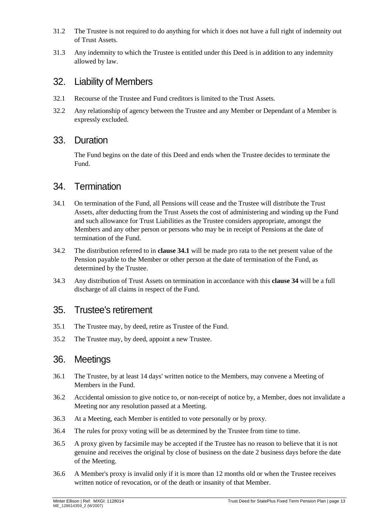- 31.2 The Trustee is not required to do anything for which it does not have a full right of indemnity out of Trust Assets.
- 31.3 Any indemnity to which the Trustee is entitled under this Deed is in addition to any indemnity allowed by law.

#### <span id="page-20-0"></span>32. Liability of Members

- 32.1 Recourse of the Trustee and Fund creditors is limited to the Trust Assets.
- 32.2 Any relationship of agency between the Trustee and any Member or Dependant of a Member is expressly excluded.

#### <span id="page-20-1"></span>33. Duration

The Fund begins on the date of this Deed and ends when the Trustee decides to terminate the Fund.

#### <span id="page-20-2"></span>34. Termination

- <span id="page-20-5"></span>34.1 On termination of the Fund, all Pensions will cease and the Trustee will distribute the Trust Assets, after deducting from the Trust Assets the cost of administering and winding up the Fund and such allowance for Trust Liabilities as the Trustee considers appropriate, amongst the Members and any other person or persons who may be in receipt of Pensions at the date of termination of the Fund.
- 34.2 The distribution referred to in **clause [34.1](#page-20-5)** will be made pro rata to the net present value of the Pension payable to the Member or other person at the date of termination of the Fund, as determined by the Trustee.
- 34.3 Any distribution of Trust Assets on termination in accordance with this **clause [34](#page-20-2)** will be a full discharge of all claims in respect of the Fund.

#### <span id="page-20-3"></span>35. Trustee's retirement

- 35.1 The Trustee may, by deed, retire as Trustee of the Fund.
- 35.2 The Trustee may, by deed, appoint a new Trustee.

#### <span id="page-20-4"></span>36. Meetings

- 36.1 The Trustee, by at least 14 days' written notice to the Members, may convene a Meeting of Members in the Fund.
- 36.2 Accidental omission to give notice to, or non-receipt of notice by, a Member, does not invalidate a Meeting nor any resolution passed at a Meeting.
- 36.3 At a Meeting, each Member is entitled to vote personally or by proxy.
- 36.4 The rules for proxy voting will be as determined by the Trustee from time to time.
- 36.5 A proxy given by facsimile may be accepted if the Trustee has no reason to believe that it is not genuine and receives the original by close of business on the date 2 business days before the date of the Meeting.
- 36.6 A Member's proxy is invalid only if it is more than 12 months old or when the Trustee receives written notice of revocation, or of the death or insanity of that Member.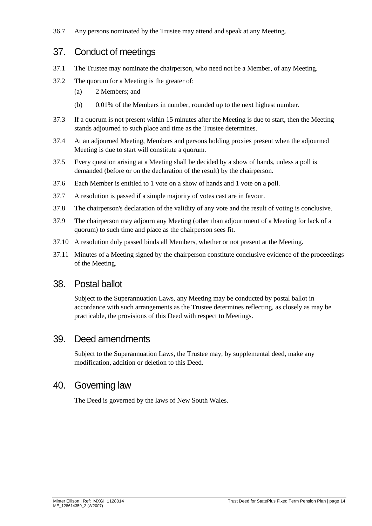36.7 Any persons nominated by the Trustee may attend and speak at any Meeting.

#### <span id="page-21-0"></span>37. Conduct of meetings

- 37.1 The Trustee may nominate the chairperson, who need not be a Member, of any Meeting.
- 37.2 The quorum for a Meeting is the greater of:
	- (a) 2 Members; and
	- (b) 0.01% of the Members in number, rounded up to the next highest number.
- 37.3 If a quorum is not present within 15 minutes after the Meeting is due to start, then the Meeting stands adjourned to such place and time as the Trustee determines.
- 37.4 At an adjourned Meeting, Members and persons holding proxies present when the adjourned Meeting is due to start will constitute a quorum.
- 37.5 Every question arising at a Meeting shall be decided by a show of hands, unless a poll is demanded (before or on the declaration of the result) by the chairperson.
- 37.6 Each Member is entitled to 1 vote on a show of hands and 1 vote on a poll.
- 37.7 A resolution is passed if a simple majority of votes cast are in favour.
- 37.8 The chairperson's declaration of the validity of any vote and the result of voting is conclusive.
- 37.9 The chairperson may adjourn any Meeting (other than adjournment of a Meeting for lack of a quorum) to such time and place as the chairperson sees fit.
- 37.10 A resolution duly passed binds all Members, whether or not present at the Meeting.
- 37.11 Minutes of a Meeting signed by the chairperson constitute conclusive evidence of the proceedings of the Meeting.

#### <span id="page-21-1"></span>38. Postal ballot

Subject to the Superannuation Laws, any Meeting may be conducted by postal ballot in accordance with such arrangements as the Trustee determines reflecting, as closely as may be practicable, the provisions of this Deed with respect to Meetings.

#### <span id="page-21-2"></span>39. Deed amendments

Subject to the Superannuation Laws, the Trustee may, by supplemental deed, make any modification, addition or deletion to this Deed.

#### <span id="page-21-3"></span>40. Governing law

The Deed is governed by the laws of New South Wales.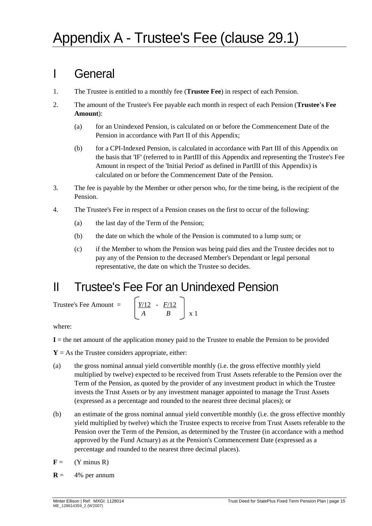### I General

- 1. The Trustee is entitled to a monthly fee (**Trustee Fee**) in respect of each Pension.
- 2. The amount of the Trustee's Fee payable each month in respect of each Pension (**Trustee's Fee Amount**):
	- (a) for an Unindexed Pension, is calculated on or before the Commencement Date of the Pension in accordance with Part II of this Appendix;
	- (b) for a CPI-Indexed Pension, is calculated in accordance with Part III of this Appendix on the basis that 'IF' (referred to in PartIII of this Appendix and representing the Trustee's Fee Amount in respect of the 'Initial Period' as defined in PartIII of this Appendix) is calculated on or before the Commencement Date of the Pension.
- 3. The fee is payable by the Member or other person who, for the time being, is the recipient of the Pension.
- 4. The Trustee's Fee in respect of a Pension ceases on the first to occur of the following:
	- (a) the last day of the Term of the Pension;
	- (b) the date on which the whole of the Pension is commuted to a lump sum; or
	- (c) if the Member to whom the Pension was being paid dies and the Trustee decides not to pay any of the Pension to the deceased Member's Dependant or legal personal representative, the date on which the Trustee so decides.

### II Trustee's Fee For an Unindexed Pension

Trustee's Fee Amount =

$$
\left[\begin{array}{c}\frac{Y/12}{A} - \frac{F/12}{B}\end{array}\right] \times 1
$$

where:

**I** = the net amount of the application money paid to the Trustee to enable the Pension to be provided

 $Y = As$  the Trustee considers appropriate, either:

- (a) the gross nominal annual yield convertible monthly (i.e. the gross effective monthly yield multiplied by twelve) expected to be received from Trust Assets referable to the Pension over the Term of the Pension, as quoted by the provider of any investment product in which the Trustee invests the Trust Assets or by any investment manager appointed to manage the Trust Assets (expressed as a percentage and rounded to the nearest three decimal places); or
- (b) an estimate of the gross nominal annual yield convertible monthly (i.e. the gross effective monthly yield multiplied by twelve) which the Trustee expects to receive from Trust Assets referable to the Pension over the Term of the Pension, as determined by the Trustee (in accordance with a method approved by the Fund Actuary) as at the Pension's Commencement Date (expressed as a percentage and rounded to the nearest three decimal places).
- $\mathbf{F} = (\mathbf{Y} \text{ minus } \mathbf{R})$
- $R = 4\%$  per annum